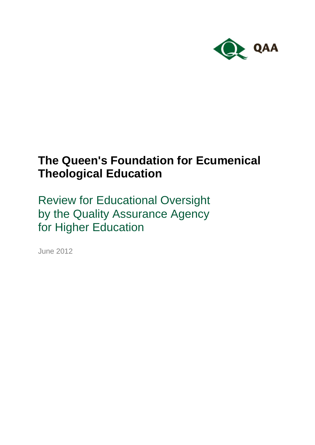

# **The Queen's Foundation for Ecumenical Theological Education**

Review for Educational Oversight by the Quality Assurance Agency for Higher Education

June 2012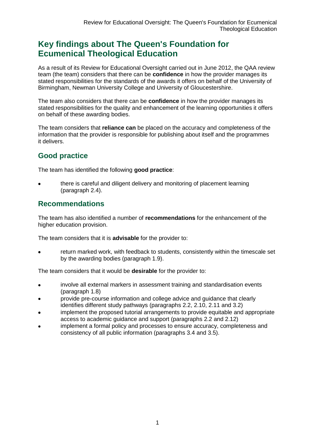# **Key findings about The Queen's Foundation for Ecumenical Theological Education**

As a result of its Review for Educational Oversight carried out in June 2012, the QAA review team (the team) considers that there can be **confidence** in how the provider manages its stated responsibilities for the standards of the awards it offers on behalf of the University of Birmingham, Newman University College and University of Gloucestershire.

The team also considers that there can be **confidence** in how the provider manages its stated responsibilities for the quality and enhancement of the learning opportunities it offers on behalf of these awarding bodies.

The team considers that **reliance can** be placed on the accuracy and completeness of the information that the provider is responsible for publishing about itself and the programmes it delivers.

# **Good practice**

The team has identified the following **good practice**:

there is careful and diligent delivery and monitoring of placement learning (paragraph 2.4).

# **Recommendations**

The team has also identified a number of **recommendations** for the enhancement of the higher education provision.

The team considers that it is **advisable** for the provider to:

return marked work, with feedback to students, consistently within the timescale set by the awarding bodies (paragraph 1.9).

The team considers that it would be **desirable** for the provider to:

- involve all external markers in assessment training and standardisation events  $\bullet$ (paragraph 1.8)
- provide pre-course information and college advice and guidance that clearly identifies different study pathways (paragraphs 2.2, 2.10, 2.11 and 3.2)
- implement the proposed tutorial arrangements to provide equitable and appropriate access to academic guidance and support (paragraphs 2.2 and 2.12)
- implement a formal policy and processes to ensure accuracy, completeness and consistency of all public information (paragraphs 3.4 and 3.5).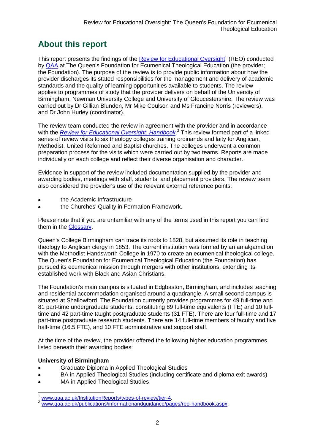# **About this report**

This report presents the findings of the **Review for Educational Oversight**<sup>1</sup> (REO) conducted by [QAA](#page-14-0) at The Queen's Foundation for Ecumenical Theological Education (the provider; the Foundation). The purpose of the review is to provide public information about how the provider discharges its stated responsibilities for the management and delivery of academic standards and the quality of learning opportunities available to students. The review applies to programmes of study that the provider delivers on behalf of the University of Birmingham, Newman University College and University of Gloucestershire. The review was carried out by Dr Gillian Blunden, Mr Mike Coulson and Ms Francine Norris (reviewers), and Dr John Hurley (coordinator).

The review team conducted the review in agreement with the provider and in accordance with the *[Review for Educational Oversight:](http://www.qaa.ac.uk/Publications/InformationAndGuidance/Pages/REO-handbook.aspx) Handbook*. <sup>2</sup> This review formed part of a linked series of review visits to six theology colleges training ordinands and laity for Anglican, Methodist, United Reformed and Baptist churches. The colleges underwent a common preparation process for the visits which were carried out by two teams. Reports are made individually on each college and reflect their diverse organisation and character.

Evidence in support of the review included documentation supplied by the provider and awarding bodies, meetings with staff, students, and placement providers. The review team also considered the provider's use of the relevant external reference points:

- the Academic Infrastructure
- the Churches' Quality in Formation Framework.

Please note that if you are unfamiliar with any of the terms used in this report you can find them in the [Glossary.](#page-15-0)

Queen's College Birmingham can trace its roots to 1828, but assumed its role in teaching theology to Anglican clergy in 1853. The current institution was formed by an amalgamation with the Methodist Handsworth College in 1970 to create an ecumenical theological college. The Queen's Foundation for Ecumenical Theological Education (the Foundation) has pursued its ecumenical mission through mergers with other institutions, extending its established work with Black and Asian Christians.

The Foundation's main campus is situated in Edgbaston, Birmingham, and includes teaching and residential accommodation organised around a quadrangle. A small second campus is situated at Shallowford. The Foundation currently provides programmes for 49 full-time and 81 part-time undergraduate students, constituting 89 full-time equivalents (FTE) and 10 fulltime and 42 part-time taught postgraduate students (31 FTE). There are four full-time and 17 part-time postgraduate research students. There are 14 full-time members of faculty and five half-time (16.5 FTE), and 10 FTE administrative and support staff.

At the time of the review, the provider offered the following higher education programmes, listed beneath their awarding bodies:

### **University of Birmingham**

- Graduate Diploma in Applied Theological Studies
- BA in Applied Theological Studies (including certificate and diploma exit awards)
- MA in Applied Theological Studies

www.gaa.ac.uk/InstitutionReports/types-of-review/tier-4.

www.gaa.ac.uk/publications/informationandguidance/pages/reo-handbook.aspx.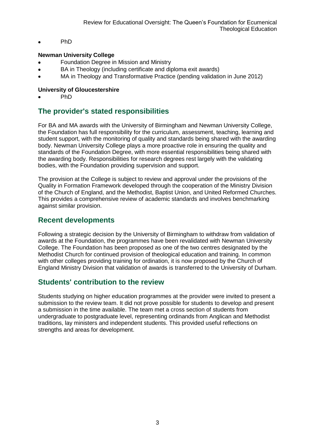$\bullet$ PhD

#### **Newman University College**

- Foundation Degree in Mission and Ministry
- BA in Theology (including certificate and diploma exit awards)
- MA in Theology and Transformative Practice (pending validation in June 2012)

#### **University of Gloucestershire**

PhD

# **The provider's stated responsibilities**

For BA and MA awards with the University of Birmingham and Newman University College, the Foundation has full responsibility for the curriculum, assessment, teaching, learning and student support, with the monitoring of quality and standards being shared with the awarding body. Newman University College plays a more proactive role in ensuring the quality and standards of the Foundation Degree, with more essential responsibilities being shared with the awarding body. Responsibilities for research degrees rest largely with the validating bodies, with the Foundation providing supervision and support.

The provision at the College is subject to review and approval under the provisions of the Quality in Formation Framework developed through the cooperation of the Ministry Division of the Church of England, and the Methodist, Baptist Union, and United Reformed Churches. This provides a comprehensive review of academic standards and involves benchmarking against similar provision.

# **Recent developments**

Following a strategic decision by the University of Birmingham to withdraw from validation of awards at the Foundation, the programmes have been revalidated with Newman University College. The Foundation has been proposed as one of the two centres designated by the Methodist Church for continued provision of theological education and training. In common with other colleges providing training for ordination, it is now proposed by the Church of England Ministry Division that validation of awards is transferred to the University of Durham.

# **Students' contribution to the review**

Students studying on higher education programmes at the provider were invited to present a submission to the review team. It did not prove possible for students to develop and present a submission in the time available. The team met a cross section of students from undergraduate to postgraduate level, representing ordinands from Anglican and Methodist traditions, lay ministers and independent students. This provided useful reflections on strengths and areas for development.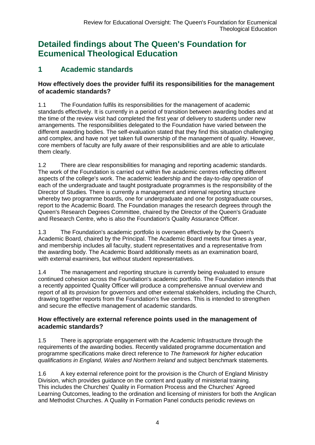# **Detailed findings about The Queen's Foundation for Ecumenical Theological Education**

# **1 Academic standards**

### **How effectively does the provider fulfil its responsibilities for the management of academic standards?**

1.1 The Foundation fulfils its responsibilities for the management of academic standards effectively. It is currently in a period of transition between awarding bodies and at the time of the review visit had completed the first year of delivery to students under new arrangements. The responsibilities delegated to the Foundation have varied between the different awarding bodies. The self-evaluation stated that they find this situation challenging and complex, and have not yet taken full ownership of the management of quality. However, core members of faculty are fully aware of their responsibilities and are able to articulate them clearly.

1.2 There are clear responsibilities for managing and reporting academic standards. The work of the Foundation is carried out within five academic centres reflecting different aspects of the college's work. The academic leadership and the day-to-day operation of each of the undergraduate and taught postgraduate programmes is the responsibility of the Director of Studies*.* There is currently a management and internal reporting structure whereby two programme boards, one for undergraduate and one for postgraduate courses, report to the Academic Board. The Foundation manages the research degrees through the Queen's Research Degrees Committee, chaired by the Director of the Queen's Graduate and Research Centre, who is also the Foundation's Quality Assurance Officer.

1.3 The Foundation's academic portfolio is overseen effectively by the Queen's Academic Board, chaired by the Principal. The Academic Board meets four times a year, and membership includes all faculty, student representatives and a representative from the awarding body. The Academic Board additionally meets as an examination board, with external examiners, but without student representatives.

1.4 The management and reporting structure is currently being evaluated to ensure continued cohesion across the Foundation's academic portfolio. The Foundation intends that a recently appointed Quality Officer will produce a comprehensive annual overview and report of all its provision for governors and other external stakeholders, including the Church, drawing together reports from the Foundation's five centres. This is intended to strengthen and secure the effective management of academic standards.

# **How effectively are external reference points used in the management of academic standards?**

1.5 There is appropriate engagement with the Academic Infrastructure through the requirements of the awarding bodies. Recently validated programme documentation and programme specifications make direct reference to *The framework for higher education qualifications in England, Wales and Northern Ireland* and subject benchmark statements*.*

1.6 A key external reference point for the provision is the Church of England Ministry Division, which provides guidance on the content and quality of ministerial training. This includes the Churches' Quality in Formation Process and the Churches' Agreed Learning Outcomes, leading to the ordination and licensing of ministers for both the Anglican and Methodist Churches. A Quality in Formation Panel conducts periodic reviews on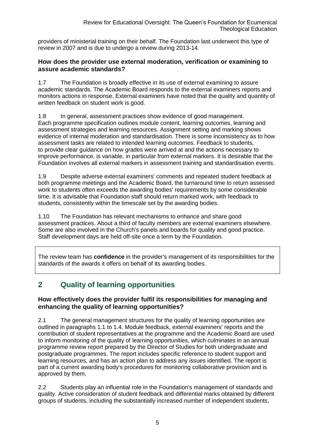providers of ministerial training on their behalf. The Foundation last underwent this type of review in 2007 and is due to undergo a review during 2013-14.

### **How does the provider use external moderation, verification or examining to assure academic standards?**

1.7 The Foundation is broadly effective in its use of external examining to assure academic standards. The Academic Board responds to the external examiners reports and monitors actions in response. External examiners have noted that the quality and quantity of written feedback on student work is good.

1.8 In general, assessment practices show evidence of good management. Each programme specification outlines module content, learning outcomes, learning and assessment strategies and learning resources. Assignment setting and marking shows evidence of internal moderation and standardisation. There is some inconsistency as to how assessment tasks are related to intended learning outcomes. Feedback to students, to provide clear guidance on how grades were arrived at and the actions necessary to improve performance, is variable, in particular from external markers. It is desirable that the Foundation involves all external markers in assessment training and standardisation events.

1.9 Despite adverse external examiners' comments and repeated student feedback at both programme meetings and the Academic Board, the turnaround time to return assessed work to students often exceeds the awarding bodies' requirements by some considerable time. It is advisable that Foundation staff should return marked work, with feedback to students, consistently within the timescale set by the awarding bodies.

1.10 The Foundation has relevant mechanisms to enhance and share good assessment practices. About a third of faculty members are external examiners elsewhere. Some are also involved in the Church's panels and boards for quality and good practice. Staff development days are held off-site once a term by the Foundation.

The review team has **confidence** in the provider's management of its responsibilities for the standards of the awards it offers on behalf of its awarding bodies.

# **2 Quality of learning opportunities**

# **How effectively does the provider fulfil its responsibilities for managing and enhancing the quality of learning opportunities?**

2.1 The general management structures for the quality of learning opportunities are outlined in paragraphs 1.1 to 1.4. Module feedback, external examiners' reports and the contribution of student representatives at the programme and the Academic Board are used to inform monitoring of the quality of learning opportunities, which culminates in an annual programme review report prepared by the Director of Studies for both undergraduate and postgraduate programmes. The report includes specific reference to student support and learning resources, and has an action plan to address any issues identified. The report is part of a current awarding body's procedures for monitoring collaborative provision and is approved by them.

2.2 Students play an influential role in the Foundation's management of standards and quality. Active consideration of student feedback and differential marks obtained by different groups of students, including the substantially increased number of independent students,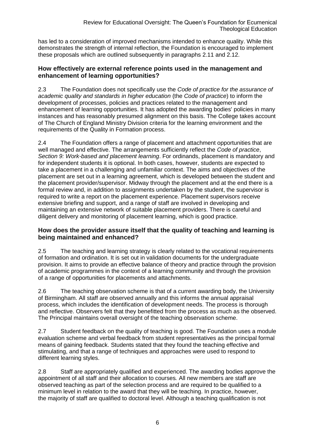has led to a consideration of improved mechanisms intended to enhance quality. While this demonstrates the strength of internal reflection, the Foundation is encouraged to implement these proposals which are outlined subsequently in paragraphs 2.11 and 2.12.

### **How effectively are external reference points used in the management and enhancement of learning opportunities?**

2.3 The Foundation does not specifically use the *Code of practice for the assurance of academic quality and standards in higher education* (the *Code of practice*) to inform the development of processes, policies and practices related to the management and enhancement of learning opportunities. It has adopted the awarding bodies' policies in many instances and has reasonably presumed alignment on this basis. The College takes account of The Church of England Ministry Division criteria for the learning environment and the requirements of the Quality in Formation process.

2.4 The Foundation offers a range of placement and attachment opportunities that are well managed and effective. The arrangements sufficiently reflect the *Code of practice*, *Section 9: Work-based and placement learning*. For ordinands, placement is mandatory and for independent students it is optional. In both cases, however, students are expected to take a placement in a challenging and unfamiliar context. The aims and objectives of the placement are set out in a learning agreement, which is developed between the student and the placement provider/supervisor. Midway through the placement and at the end there is a formal review and, in addition to assignments undertaken by the student, the supervisor is required to write a report on the placement experience. Placement supervisors receive extensive briefing and support, and a range of staff are involved in developing and maintaining an extensive network of suitable placement providers. There is careful and diligent delivery and monitoring of placement learning, which is good practice.

### **How does the provider assure itself that the quality of teaching and learning is being maintained and enhanced?**

2.5 The teaching and learning strategy is clearly related to the vocational requirements of formation and ordination. It is set out in validation documents for the undergraduate provision. It aims to provide an effective balance of theory and practice through the provision of academic programmes in the context of a learning community and through the provision of a range of opportunities for placements and attachments.

2.6 The teaching observation scheme is that of a current awarding body, the University of Birmingham. All staff are observed annually and this informs the annual appraisal process, which includes the identification of development needs. The process is thorough and reflective. Observers felt that they benefitted from the process as much as the observed. The Principal maintains overall oversight of the teaching observation scheme.

2.7 Student feedback on the quality of teaching is good. The Foundation uses a module evaluation scheme and verbal feedback from student representatives as the principal formal means of gaining feedback. Students stated that they found the teaching effective and stimulating, and that a range of techniques and approaches were used to respond to different learning styles.

2.8 Staff are appropriately qualified and experienced. The awarding bodies approve the appointment of all staff and their allocation to courses*.* All new members are staff are observed teaching as part of the selection process and are required to be qualified to a minimum level in relation to the award that they will be teaching. In practice, however, the majority of staff are qualified to doctoral level. Although a teaching qualification is not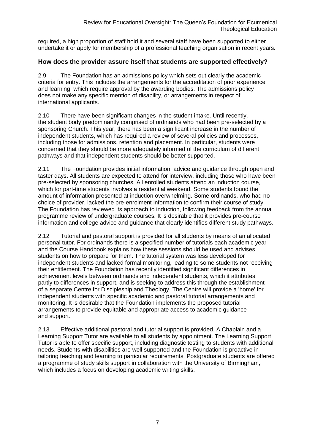required, a high proportion of staff hold it and several staff have been supported to either undertake it or apply for membership of a professional teaching organisation in recent years.

### **How does the provider assure itself that students are supported effectively?**

2.9 The Foundation has an admissions policy which sets out clearly the academic criteria for entry. This includes the arrangements for the accreditation of prior experience and learning, which require approval by the awarding bodies. The admissions policy does not make any specific mention of disability, or arrangements in respect of international applicants.

2.10 There have been significant changes in the student intake. Until recently, the student body predominantly comprised of ordinands who had been pre-selected by a sponsoring Church. This year, there has been a significant increase in the number of independent students, which has required a review of several policies and processes, including those for admissions, retention and placement. In particular, students were concerned that they should be more adequately informed of the curriculum of different pathways and that independent students should be better supported.

2.11 The Foundation provides initial information, advice and guidance through open and taster days. All students are expected to attend for interview, including those who have been pre-selected by sponsoring churches. All enrolled students attend an induction course, which for part-time students involves a residential weekend. Some students found the amount of information presented at induction overwhelming. Some ordinands, who had no choice of provider, lacked the pre-enrolment information to confirm their course of study. The Foundation has reviewed its approach to induction, following feedback from the annual programme review of undergraduate courses. It is desirable that it provides pre-course information and college advice and guidance that clearly identifies different study pathways.

2.12 Tutorial and pastoral support is provided for all students by means of an allocated personal tutor. For ordinands there is a specified number of tutorials each academic year and the Course Handbook explains how these sessions should be used and advises students on how to prepare for them. The tutorial system was less developed for independent students and lacked formal monitoring, leading to some students not receiving their entitlement. The Foundation has recently identified significant differences in achievement levels between ordinands and independent students, which it attributes partly to differences in support, and is seeking to address this through the establishment of a separate Centre for Discipleship and Theology. The Centre will provide a 'home' for independent students with specific academic and pastoral tutorial arrangements and monitoring. It is desirable that the Foundation implements the proposed tutorial arrangements to provide equitable and appropriate access to academic guidance and support.

2.13 Effective additional pastoral and tutorial support is provided. A Chaplain and a Learning Support Tutor are available to all students by appointment. The Learning Support Tutor is able to offer specific support, including diagnostic testing to students with additional needs. Students with disabilities are well supported and the Foundation is proactive in tailoring teaching and learning to particular requirements. Postgraduate students are offered a programme of study skills support in collaboration with the University of Birmingham, which includes a focus on developing academic writing skills.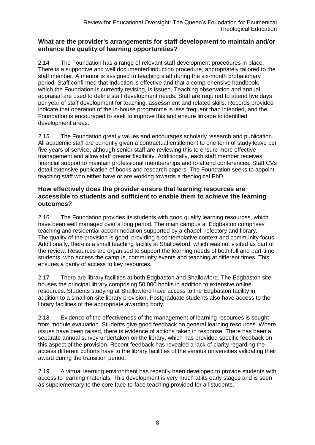### **What are the provider's arrangements for staff development to maintain and/or enhance the quality of learning opportunities?**

2.14 The Foundation has a range of relevant staff development procedures in place. There is a supportive and well documented induction procedure, appropriately tailored to the staff member. A mentor is assigned to teaching staff during the six-month probationary period. Staff confirmed that induction is effective and that a comprehensive handbook, which the Foundation is currently revising, is issued. Teaching observation and annual appraisal are used to define staff development needs. Staff are required to attend five days per year of staff development for teaching, assessment and related skills*.* Records provided indicate that operation of the in-house programme is less frequent than intended, and the Foundation is encouraged to seek to improve this and ensure linkage to identified development areas.

2.15 The Foundation greatly values and encourages scholarly research and publication. All academic staff are currently given a contractual entitlement to one term of study leave per five years of service, although senior staff are reviewing this to ensure more effective management and allow staff greater flexibility. Additionally, each staff member receives financial support to maintain professional memberships and to attend conferences. Staff CVs detail extensive publication of books and research papers. The Foundation seeks to appoint teaching staff who either have or are working towards a theological PhD.

### **How effectively does the provider ensure that learning resources are accessible to students and sufficient to enable them to achieve the learning outcomes?**

2.16 The Foundation provides its students with good quality learning resources, which have been well managed over a long period. The main campus at Edgbaston comprises teaching and residential accommodation supported by a chapel, refectory and library. The quality of the provision is good, providing a contemplative context and community focus. Additionally, there is a small teaching facility at Shallowford, which was not visited as part of the review. Resources are organised to support the learning needs of both full and part-time students, who access the campus, community events and teaching at different times. This ensures a parity of access to key resources*.* 

2.17 There are library facilities at both Edgbaston and Shallowford. The Edgbaston site houses the principal library comprising 50,000 books in addition to extensive online resources. Students studying at Shallowford have access to the Edgbaston facility in addition to a small on-site library provision. Postgraduate students also have access to the library facilities of the appropriate awarding body*.* 

2.18 Evidence of the effectiveness of the management of learning resources is sought from module evaluation. Students give good feedback on general learning resources. Where issues have been raised, there is evidence of actions taken in response. There has been a separate annual survey undertaken on the library, which has provided specific feedback on this aspect of the provision. Recent feedback has revealed a lack of clarity regarding the access different cohorts have to the library facilities of the various universities validating their award during the transition period.

2.19 A virtual learning environment has recently been developed to provide students with access to learning materials. This development is very much at its early stages and is seen as supplementary to the core face-to-face teaching provided for all students.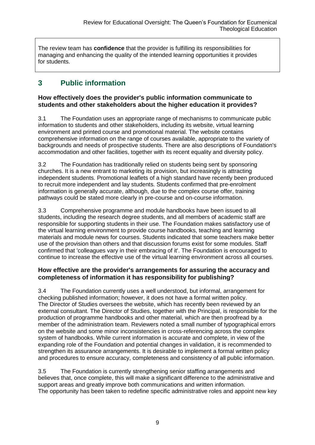The review team has **confidence** that the provider is fulfilling its responsibilities for managing and enhancing the quality of the intended learning opportunities it provides for students.

# **3 Public information**

### **How effectively does the provider's public information communicate to students and other stakeholders about the higher education it provides?**

3.1 The Foundation uses an appropriate range of mechanisms to communicate public information to students and other stakeholders, including its website, virtual learning environment and printed course and promotional material. The website contains comprehensive information on the range of courses available, appropriate to the variety of backgrounds and needs of prospective students. There are also descriptions of Foundation's accommodation and other facilities, together with its recent equality and diversity policy.

3.2 The Foundation has traditionally relied on students being sent by sponsoring churches. It is a new entrant to marketing its provision, but increasingly is attracting independent students. Promotional leaflets of a high standard have recently been produced to recruit more independent and lay students. Students confirmed that pre-enrolment information is generally accurate, although, due to the complex course offer, training pathways could be stated more clearly in pre-course and on-course information.

3.3 Comprehensive programme and module handbooks have been issued to all students, including the research degree students, and all members of academic staff are responsible for supporting students in their use. The Foundation makes satisfactory use of the virtual learning environment to provide course handbooks, teaching and learning materials and module news for courses. Students indicated that some teachers make better use of the provision than others and that discussion forums exist for some modules. Staff confirmed that 'colleagues vary in their embracing of it'. The Foundation is encouraged to continue to increase the effective use of the virtual learning environment across all courses.

### **How effective are the provider's arrangements for assuring the accuracy and completeness of information it has responsibility for publishing?**

3.4 The Foundation currently uses a well understood, but informal, arrangement for checking published information; however, it does not have a formal written policy. The Director of Studies oversees the website, which has recently been reviewed by an external consultant. The Director of Studies, together with the Principal, is responsible for the production of programme handbooks and other material, which are then proofread by a member of the administration team. Reviewers noted a small number of typographical errors on the website and some minor inconsistencies in cross-referencing across the complex system of handbooks. While current information is accurate and complete, in view of the expanding role of the Foundation and potential changes in validation, it is recommended to strengthen its assurance arrangements. It is desirable to implement a formal written policy and procedures to ensure accuracy, completeness and consistency of all public information.

3.5 The Foundation is currently strengthening senior staffing arrangements and believes that, once complete, this will make a significant difference to the administrative and support areas and greatly improve both communications and written information. The opportunity has been taken to redefine specific administrative roles and appoint new key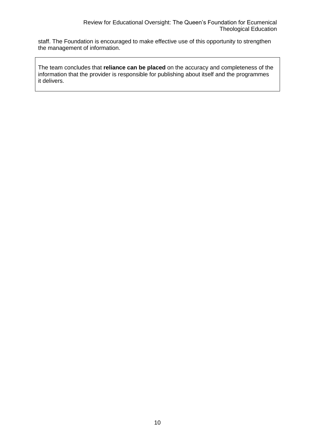staff. The Foundation is encouraged to make effective use of this opportunity to strengthen the management of information.

The team concludes that **reliance can be placed** on the accuracy and completeness of the information that the provider is responsible for publishing about itself and the programmes it delivers.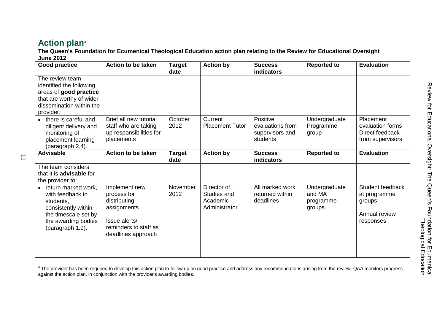# **Action plan<sup>3</sup>**

| The Queen's Foundation for Ecumenical Theological Education action plan relating to the Review for Educational Oversight<br><b>June 2012</b>   |                                                                                                                             |                       |                                                         |                                                             |                                                |                                                                          |  |  |
|------------------------------------------------------------------------------------------------------------------------------------------------|-----------------------------------------------------------------------------------------------------------------------------|-----------------------|---------------------------------------------------------|-------------------------------------------------------------|------------------------------------------------|--------------------------------------------------------------------------|--|--|
| <b>Good practice</b>                                                                                                                           | Action to be taken                                                                                                          | <b>Target</b><br>date | <b>Action by</b>                                        | <b>Success</b><br>indicators                                | <b>Reported to</b>                             | <b>Evaluation</b>                                                        |  |  |
| The review team<br>identified the following<br>areas of good practice<br>that are worthy of wider<br>dissemination within the<br>provider:     |                                                                                                                             |                       |                                                         |                                                             |                                                |                                                                          |  |  |
| there is careful and<br>$\bullet$<br>diligent delivery and<br>monitoring of<br>placement learning<br>(paragraph 2.4).                          | Brief all new tutorial<br>staff who are taking<br>up responsibilities for<br>placements                                     | October<br>2012       | Current<br><b>Placement Tutor</b>                       | Positive<br>evaluations from<br>supervisors and<br>students | Undergraduate<br>Programme<br>group            | Placement<br>evaluation forms<br>Direct feedback<br>from supervisors     |  |  |
| <b>Advisable</b>                                                                                                                               | <b>Action to be taken</b>                                                                                                   | <b>Target</b><br>date | <b>Action by</b>                                        | <b>Success</b><br>indicators                                | <b>Reported to</b>                             | <b>Evaluation</b>                                                        |  |  |
| The team considers<br>that it is <b>advisable</b> for<br>the provider to:                                                                      |                                                                                                                             |                       |                                                         |                                                             |                                                |                                                                          |  |  |
| return marked work,<br>with feedback to<br>students,<br>consistently within<br>the timescale set by<br>the awarding bodies<br>(paragraph 1.9). | Implement new<br>process for<br>distributing<br>assignments<br>Issue alerts/<br>reminders to staff as<br>deadlines approach | November<br>2012      | Director of<br>Studies and<br>Academic<br>Administrator | All marked work<br>returned within<br>deadlines             | Undergraduate<br>and MA<br>programme<br>groups | Student feedback<br>at programme<br>groups<br>Annual review<br>responses |  |  |

The provider has been required to develop this action plan to follow up on good practice and address any recommendations arising from the review. QAA monitors progress<br>The provider has been required to develop this action against the action plan, in conjunction with the provider's awarding bodies.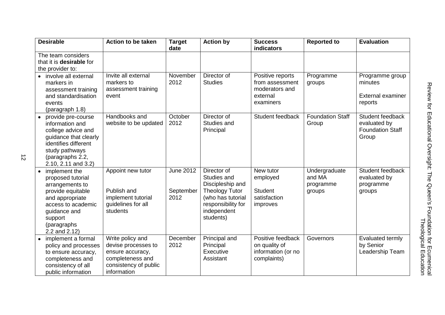| <b>Desirable</b>                                                                                                                                                               | <b>Action to be taken</b>                                                                                               | <b>Target</b><br>date                 | <b>Action by</b>                                                                                                                               | <b>Success</b><br>indicators                                                   | <b>Reported to</b>                             | <b>Evaluation</b>                                                    |
|--------------------------------------------------------------------------------------------------------------------------------------------------------------------------------|-------------------------------------------------------------------------------------------------------------------------|---------------------------------------|------------------------------------------------------------------------------------------------------------------------------------------------|--------------------------------------------------------------------------------|------------------------------------------------|----------------------------------------------------------------------|
| The team considers<br>that it is <b>desirable</b> for<br>the provider to:                                                                                                      |                                                                                                                         |                                       |                                                                                                                                                |                                                                                |                                                |                                                                      |
| • involve all external<br>markers in<br>assessment training<br>and standardisation<br>events<br>(paragraph 1.8)                                                                | Invite all external<br>markers to<br>assessment training<br>event                                                       | November<br>2012                      | Director of<br><b>Studies</b>                                                                                                                  | Positive reports<br>from assessment<br>moderators and<br>external<br>examiners | Programme<br>groups                            | Programme group<br>minutes<br>External examiner<br>reports           |
| provide pre-course<br>information and<br>college advice and<br>guidance that clearly<br>identifies different<br>study pathways<br>(paragraphs 2.2,<br>2.10, 2.11 and 3.2)      | Handbooks and<br>website to be updated                                                                                  | October<br>2012                       | Director of<br>Studies and<br>Principal                                                                                                        | Student feedback                                                               | <b>Foundation Staff</b><br>Group               | Student feedback<br>evaluated by<br><b>Foundation Staff</b><br>Group |
| implement the<br>proposed tutorial<br>arrangements to<br>provide equitable<br>and appropriate<br>access to academic<br>guidance and<br>support<br>(paragraphs<br>2.2 and 2.12) | Appoint new tutor<br>Publish and<br>implement tutorial<br>quidelines for all<br>students                                | <b>June 2012</b><br>September<br>2012 | Director of<br>Studies and<br>Discipleship and<br><b>Theology Tutor</b><br>(who has tutorial<br>responsibility for<br>independent<br>students) | New tutor<br>employed<br><b>Student</b><br>satisfaction<br>improves            | Undergraduate<br>and MA<br>programme<br>groups | Student feedback<br>evaluated by<br>programme<br>groups              |
| implement a formal<br>policy and processes<br>to ensure accuracy,<br>completeness and<br>consistency of all<br>public information                                              | Write policy and<br>devise processes to<br>ensure accuracy,<br>completeness and<br>consistency of public<br>information | December<br>2012                      | Principal and<br>Principal<br>Executive<br>Assistant                                                                                           | Positive feedback<br>on quality of<br>information (or no<br>complaints)        | Governors                                      | Evaluated termly<br>by Senior<br>Leadership Team                     |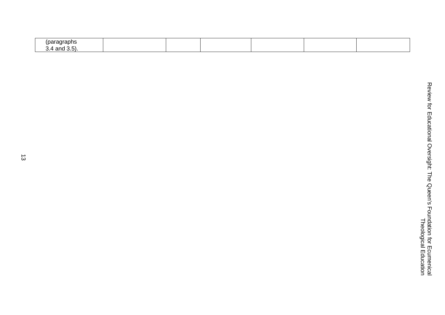| 'paragraphs<br>$\sim$ |  |  |  |
|-----------------------|--|--|--|
| 1.4 and 3.5)<br>ູບ.   |  |  |  |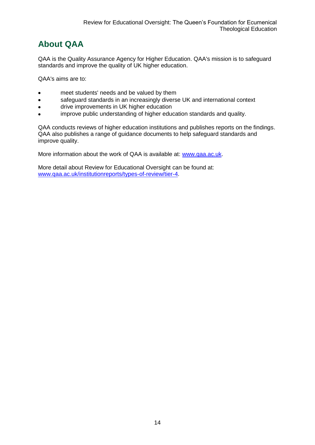# <span id="page-14-0"></span>**About QAA**

QAA is the Quality Assurance Agency for Higher Education. QAA's mission is to safeguard standards and improve the quality of UK higher education.

QAA's aims are to:

- meet students' needs and be valued by them  $\bullet$
- safeguard standards in an increasingly diverse UK and international context  $\bullet$
- drive improvements in UK higher education  $\bullet$
- improve public understanding of higher education standards and quality.

QAA conducts reviews of higher education institutions and publishes reports on the findings. QAA also publishes a range of guidance documents to help safeguard standards and improve quality.

More information about the work of QAA is available at: [www.qaa.ac.uk.](http://www.qaa.ac.uk/)

More detail about Review for Educational Oversight can be found at: [www.qaa.ac.uk/institutionreports/types-of-review/tier-4.](http://www.qaa.ac.uk/institutionreports/types-of-review/tier-4)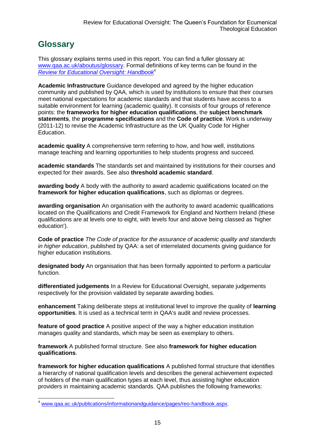# <span id="page-15-0"></span>**Glossary**

This glossary explains terms used in this report. You can find a fuller glossary at: [www.qaa.ac.uk/aboutus/glossary.](http://www.qaa.ac.uk/aboutus/glossary) Formal definitions of key terms can be found in the *[Review for Educational Oversight: Handbook](http://www.qaa.ac.uk/Publications/InformationAndGuidance/Pages/REO-handbook.aspx)* 4

**Academic Infrastructure** Guidance developed and agreed by the higher education community and published by QAA, which is used by institutions to ensure that their courses meet national expectations for academic standards and that students have access to a suitable environment for learning (academic quality). It consists of four groups of reference points: the **frameworks for higher education qualifications**, the **subject benchmark statements**, the **programme specifications** and the **[Code of practice](http://www.qaa.ac.uk/AboutUs/glossary/Pages/glossary-c.aspx#c2)**. Work is underway (2011-12) to revise the Academic Infrastructure as the UK [Quality Code](http://www.qaa.ac.uk/AboutUs/glossary/Pages/glossary-q.aspx#q5) for Higher Education.

**academic quality** A comprehensive term referring to how, and how well, institutions manage teaching and learning opportunities to help students progress and succeed.

**academic standards** The standards set and maintained by institutions for their courses and expected for their awards. See also **threshold academic standard**.

**awarding body** A body with the authority to award academic qualifications located on the **framework for higher education qualifications**, such as diplomas or degrees.

**awarding organisation** An organisation with the authority to award academic qualifications located on the Qualifications and Credit Framework for England and Northern Ireland (these qualifications are at levels one to eight, with levels four and above being classed as 'higher education').

**Code of practice** *The Code of practice for the assurance of academic quality and standards in higher education*, published by QAA: a set of interrelated documents giving guidance for higher education institutions.

**designated body** An organisation that has been formally appointed to perform a particular function.

**differentiated judgements** In a Review for Educational Oversight, separate judgements respectively for the provision validated by separate awarding bodies.

**enhancement** Taking deliberate steps at institutional level to improve the quality of **[learning](http://www.qaa.ac.uk/aboutus/glossary/pages/glossary-l.aspx#l1)  [opportunities](http://www.qaa.ac.uk/aboutus/glossary/pages/glossary-l.aspx#l1)**. It is used as a technical term in QAA's audit and review processes.

**feature of good practice** A positive aspect of the way a higher education institution manages quality and standards, which may be seen as exemplary to others.

**framework** A published formal structure. See also **framework for higher education qualifications**.

**framework for higher education qualifications** A published formal structure that identifies a hierarchy of national qualification levels and describes the general achievement expected of holders of the main qualification types at each level, thus assisting higher education providers in maintaining academic standards. QAA publishes the following frameworks:

[www.qaa.ac.uk/publications/informationandguidance/pages/reo-handbook.aspx.](http://www.qaa.ac.uk/publications/informationandguidance/pages/reo-handbook.aspx)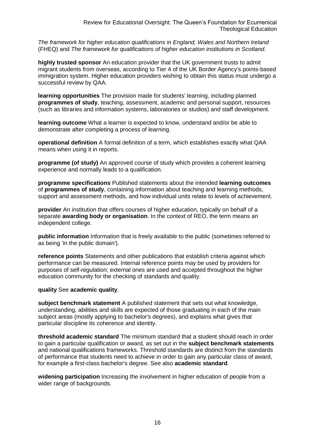*The framework for higher education qualifications in England, Wales and Northern Ireland* (FHEQ) and *The framework for qualifications of higher education institutions in Scotland*.

**highly trusted sponsor** An education provider that the UK government trusts to admit migrant students from overseas, according to Tier 4 of the UK Border Agency's points-based immigration system. Higher education providers wishing to obtain this status must undergo a successful review by QAA.

**learning opportunities** The provision made for students' learning, including planned **[programmes of study](http://newlive.qaa.ac.uk/aboutus/glossary/pages/glossary-p.aspx#p12)**, teaching, assessment, academic and personal support, resources (such as libraries and information systems, laboratories or studios) and staff development.

**learning outcome** What a learner is expected to know, understand and/or be able to demonstrate after completing a process of learning.

**operational definition** A formal definition of a term, which establishes exactly what QAA means when using it in reports.

**programme (of study)** An approved course of study which provides a coherent learning experience and normally leads to a qualification.

**programme specifications** Published statements about the intended **[learning outcomes](http://newlive.qaa.ac.uk/aboutus/glossary/pages/glossary-l.aspx#l2)** of **programmes of study**, containing information about teaching and learning methods, support and assessment methods, and how individual units relate to levels of achievement.

**provider** An institution that offers courses of higher education, typically on behalf of a separate **awarding body or organisation**. In the context of REO, the term means an independent college.

**public information** Information that is freely available to the public (sometimes referred to as being 'in the public domain').

**reference points** Statements and other publications that establish criteria against which performance can be measured. Internal reference points may be used by providers for purposes of self-regulation; external ones are used and accepted throughout the higher education community for the checking of standards and quality.

#### **quality** See **academic quality**.

**subject benchmark statement** A published statement that sets out what knowledge, understanding, abilities and skills are expected of those graduating in each of the main subject areas (mostly applying to [bachelor's degrees\)](http://newlive.qaa.ac.uk/aboutus/glossary/pages/glossary-b/aspx#b1), and explains what gives that particular discipline its coherence and identity.

**threshold academic standard** The minimum standard that a student should reach in order to gain a particular qualification or award, as set out in the **[subject benchmark statements](http://newlive.qaa.ac.uk/aboutus/glossary/pages/glossary-s.aspx#s7)** and national [qualifications frameworks.](http://newlive.qaa.ac.uk/aboutus/glossary/pages/glossary-q.aspx#q3) Threshold standards are distinct from the standards of performance that students need to achieve in order to gain any particular class of award, for example a first-class bachelor's degree. See also **[academic standard](http://newlive.qaa.ac.uk/aboutus/glossary/pages/glossary-a.aspx#a3)**.

**widening participation** Increasing the involvement in higher education of people from a wider range of backgrounds.